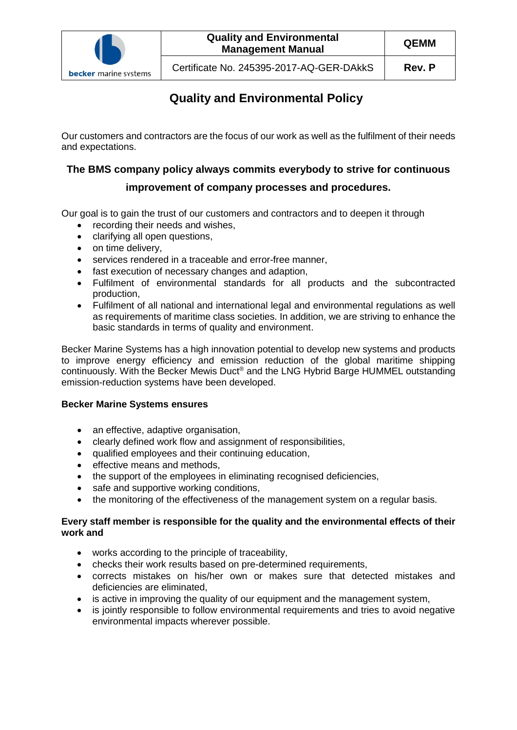

# **Quality and Environmental Policy**

Our customers and contractors are the focus of our work as well as the fulfilment of their needs and expectations.

### **The BMS company policy always commits everybody to strive for continuous**

## **improvement of company processes and procedures.**

Our goal is to gain the trust of our customers and contractors and to deepen it through

- recording their needs and wishes,
- clarifying all open questions,
- on time delivery,
- services rendered in a traceable and error-free manner,
- fast execution of necessary changes and adaption,
- Fulfilment of environmental standards for all products and the subcontracted production,
- Fulfilment of all national and international legal and environmental regulations as well as requirements of maritime class societies. In addition, we are striving to enhance the basic standards in terms of quality and environment.

Becker Marine Systems has a high innovation potential to develop new systems and products to improve energy efficiency and emission reduction of the global maritime shipping continuously. With the Becker Mewis Duct® and the LNG Hybrid Barge HUMMEL outstanding emission-reduction systems have been developed.

#### **Becker Marine Systems ensures**

- an effective, adaptive organisation,
- clearly defined work flow and assignment of responsibilities,
- qualified employees and their continuing education,
- effective means and methods,
- the support of the employees in eliminating recognised deficiencies,
- safe and supportive working conditions,
- the monitoring of the effectiveness of the management system on a regular basis.

#### **Every staff member is responsible for the quality and the environmental effects of their work and**

- works according to the principle of traceability,
- checks their work results based on pre-determined requirements,
- corrects mistakes on his/her own or makes sure that detected mistakes and deficiencies are eliminated,
- is active in improving the quality of our equipment and the management system,
- is jointly responsible to follow environmental requirements and tries to avoid negative environmental impacts wherever possible.